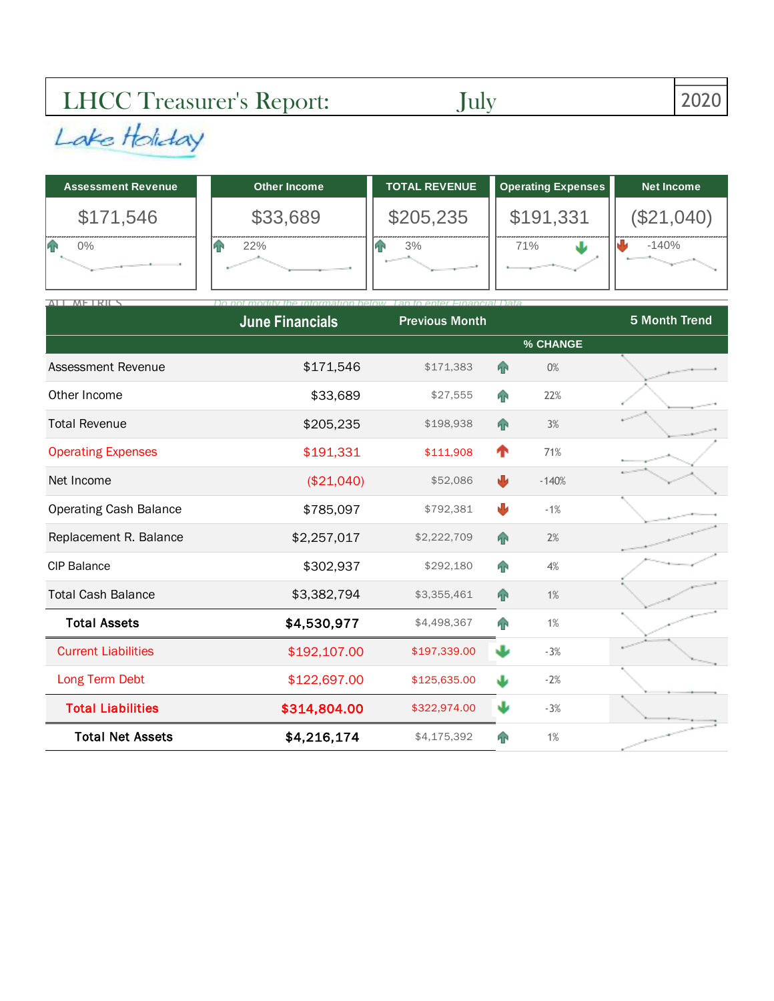## LHCC Treasurer's Report: July 2020

| <b>Assessment Revenue</b> | Other Income | <b>TOTAL REVENUE</b> | <b>Operating Expenses</b> | <b>Net Income</b> |
|---------------------------|--------------|----------------------|---------------------------|-------------------|
| \$171,546                 | \$33,689     | \$205,235            | \$191,331                 | (\$21,040)        |
| 0%                        | 22%          | 3%                   | 71%                       | $-140%$           |

| ALL METRICS                   | <b>Hinancial Data</b>  |                       |                |          |               |  |
|-------------------------------|------------------------|-----------------------|----------------|----------|---------------|--|
|                               | <b>June Financials</b> | <b>Previous Month</b> |                |          | 5 Month Trend |  |
|                               |                        |                       |                | % CHANGE |               |  |
| <b>Assessment Revenue</b>     | \$171,546              | \$171,383             | $\bigcap$      | 0%       |               |  |
| Other Income                  | \$33,689               | \$27,555              | 4 <sup>1</sup> | 22%      |               |  |
| <b>Total Revenue</b>          | \$205,235              | \$198,938             | <b>A</b>       | 3%       |               |  |
| <b>Operating Expenses</b>     | \$191,331              | \$111,908             | ↑              | 71%      |               |  |
| Net Income                    | (\$21,040)             | \$52,086              | ₩              | $-140%$  |               |  |
| <b>Operating Cash Balance</b> | \$785,097              | \$792,381             | ψ              | $-1%$    |               |  |
| Replacement R. Balance        | \$2,257,017            | \$2,222,709           | A <sub>P</sub> | 2%       |               |  |
| <b>CIP Balance</b>            | \$302,937              | \$292,180             | <b>FR</b>      | 4%       |               |  |
| <b>Total Cash Balance</b>     | \$3,382,794            | \$3,355,461           | $\mathbf{P}$   | 1%       |               |  |
| <b>Total Assets</b>           | \$4,530,977            | \$4,498,367           | n              | 1%       |               |  |
| <b>Current Liabilities</b>    | \$192,107.00           | \$197,339.00          | J              | $-3%$    |               |  |
| Long Term Debt                | \$122,697.00           | \$125,635.00          | J              | $-2%$    |               |  |
| <b>Total Liabilities</b>      | \$314,804.00           | \$322,974.00          | w              | $-3%$    |               |  |
| <b>Total Net Assets</b>       | \$4,216,174            | \$4,175,392           | ЙP             | 1%       |               |  |